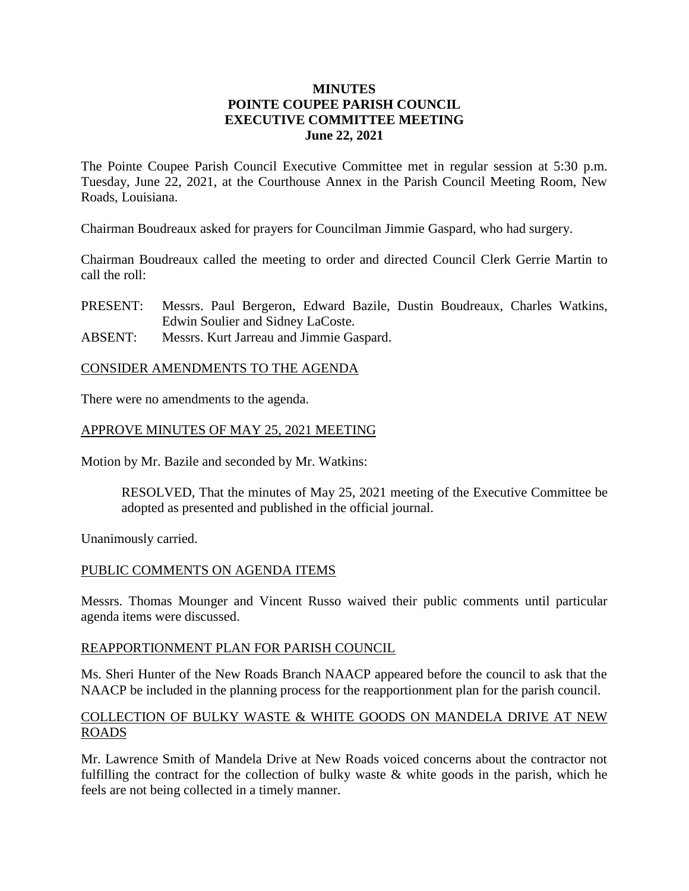# **MINUTES POINTE COUPEE PARISH COUNCIL EXECUTIVE COMMITTEE MEETING June 22, 2021**

The Pointe Coupee Parish Council Executive Committee met in regular session at 5:30 p.m. Tuesday, June 22, 2021, at the Courthouse Annex in the Parish Council Meeting Room, New Roads, Louisiana.

Chairman Boudreaux asked for prayers for Councilman Jimmie Gaspard, who had surgery.

Chairman Boudreaux called the meeting to order and directed Council Clerk Gerrie Martin to call the roll:

- PRESENT: Messrs. Paul Bergeron, Edward Bazile, Dustin Boudreaux, Charles Watkins, Edwin Soulier and Sidney LaCoste.
- ABSENT: Messrs. Kurt Jarreau and Jimmie Gaspard.

#### CONSIDER AMENDMENTS TO THE AGENDA

There were no amendments to the agenda.

# APPROVE MINUTES OF MAY 25, 2021 MEETING

Motion by Mr. Bazile and seconded by Mr. Watkins:

RESOLVED, That the minutes of May 25, 2021 meeting of the Executive Committee be adopted as presented and published in the official journal.

Unanimously carried.

#### PUBLIC COMMENTS ON AGENDA ITEMS

Messrs. Thomas Mounger and Vincent Russo waived their public comments until particular agenda items were discussed.

#### REAPPORTIONMENT PLAN FOR PARISH COUNCIL

Ms. Sheri Hunter of the New Roads Branch NAACP appeared before the council to ask that the NAACP be included in the planning process for the reapportionment plan for the parish council.

#### COLLECTION OF BULKY WASTE & WHITE GOODS ON MANDELA DRIVE AT NEW ROADS

Mr. Lawrence Smith of Mandela Drive at New Roads voiced concerns about the contractor not fulfilling the contract for the collection of bulky waste & white goods in the parish, which he feels are not being collected in a timely manner.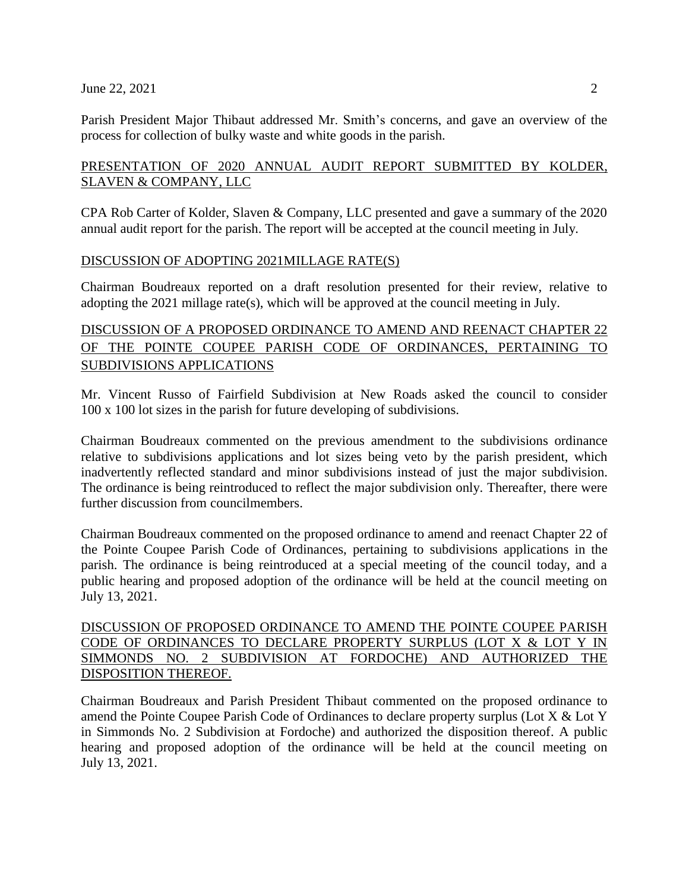#### June 22, 2021 2

Parish President Major Thibaut addressed Mr. Smith's concerns, and gave an overview of the process for collection of bulky waste and white goods in the parish.

# PRESENTATION OF 2020 ANNUAL AUDIT REPORT SUBMITTED BY KOLDER, SLAVEN & COMPANY, LLC

CPA Rob Carter of Kolder, Slaven & Company, LLC presented and gave a summary of the 2020 annual audit report for the parish. The report will be accepted at the council meeting in July.

# DISCUSSION OF ADOPTING 2021MILLAGE RATE(S)

Chairman Boudreaux reported on a draft resolution presented for their review, relative to adopting the 2021 millage rate(s), which will be approved at the council meeting in July.

# DISCUSSION OF A PROPOSED ORDINANCE TO AMEND AND REENACT CHAPTER 22 OF THE POINTE COUPEE PARISH CODE OF ORDINANCES, PERTAINING TO SUBDIVISIONS APPLICATIONS

Mr. Vincent Russo of Fairfield Subdivision at New Roads asked the council to consider 100 x 100 lot sizes in the parish for future developing of subdivisions.

Chairman Boudreaux commented on the previous amendment to the subdivisions ordinance relative to subdivisions applications and lot sizes being veto by the parish president, which inadvertently reflected standard and minor subdivisions instead of just the major subdivision. The ordinance is being reintroduced to reflect the major subdivision only. Thereafter, there were further discussion from councilmembers.

Chairman Boudreaux commented on the proposed ordinance to amend and reenact Chapter 22 of the Pointe Coupee Parish Code of Ordinances, pertaining to subdivisions applications in the parish. The ordinance is being reintroduced at a special meeting of the council today, and a public hearing and proposed adoption of the ordinance will be held at the council meeting on July 13, 2021.

# DISCUSSION OF PROPOSED ORDINANCE TO AMEND THE POINTE COUPEE PARISH CODE OF ORDINANCES TO DECLARE PROPERTY SURPLUS (LOT X & LOT Y IN SIMMONDS NO. 2 SUBDIVISION AT FORDOCHE) AND AUTHORIZED THE DISPOSITION THEREOF.

Chairman Boudreaux and Parish President Thibaut commented on the proposed ordinance to amend the Pointe Coupee Parish Code of Ordinances to declare property surplus (Lot X & Lot Y in Simmonds No. 2 Subdivision at Fordoche) and authorized the disposition thereof. A public hearing and proposed adoption of the ordinance will be held at the council meeting on July 13, 2021.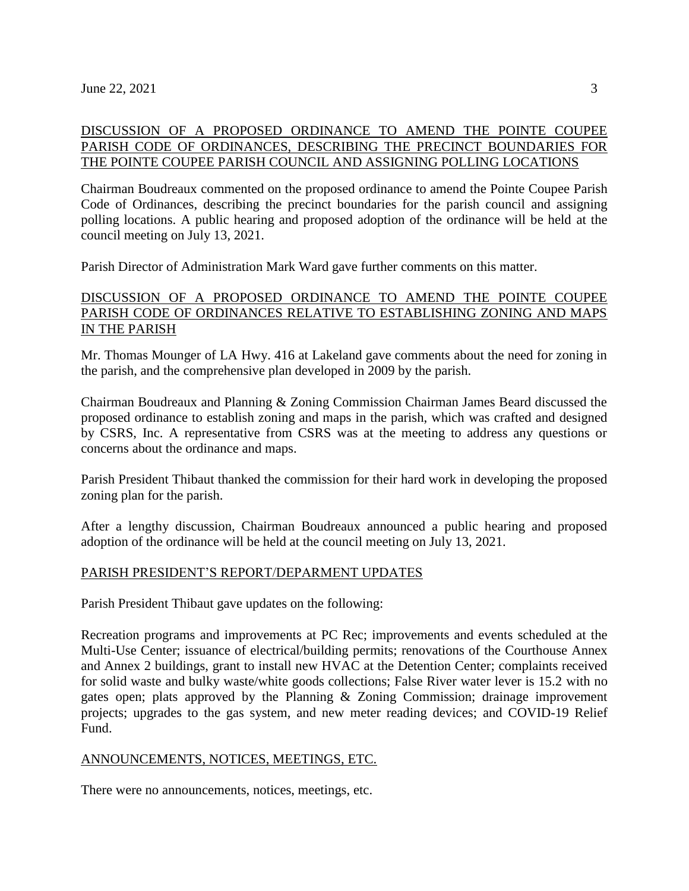# DISCUSSION OF A PROPOSED ORDINANCE TO AMEND THE POINTE COUPEE PARISH CODE OF ORDINANCES, DESCRIBING THE PRECINCT BOUNDARIES FOR THE POINTE COUPEE PARISH COUNCIL AND ASSIGNING POLLING LOCATIONS

Chairman Boudreaux commented on the proposed ordinance to amend the Pointe Coupee Parish Code of Ordinances, describing the precinct boundaries for the parish council and assigning polling locations. A public hearing and proposed adoption of the ordinance will be held at the council meeting on July 13, 2021.

Parish Director of Administration Mark Ward gave further comments on this matter.

# DISCUSSION OF A PROPOSED ORDINANCE TO AMEND THE POINTE COUPEE PARISH CODE OF ORDINANCES RELATIVE TO ESTABLISHING ZONING AND MAPS IN THE PARISH

Mr. Thomas Mounger of LA Hwy. 416 at Lakeland gave comments about the need for zoning in the parish, and the comprehensive plan developed in 2009 by the parish.

Chairman Boudreaux and Planning & Zoning Commission Chairman James Beard discussed the proposed ordinance to establish zoning and maps in the parish, which was crafted and designed by CSRS, Inc. A representative from CSRS was at the meeting to address any questions or concerns about the ordinance and maps.

Parish President Thibaut thanked the commission for their hard work in developing the proposed zoning plan for the parish.

After a lengthy discussion, Chairman Boudreaux announced a public hearing and proposed adoption of the ordinance will be held at the council meeting on July 13, 2021.

# PARISH PRESIDENT'S REPORT/DEPARMENT UPDATES

Parish President Thibaut gave updates on the following:

Recreation programs and improvements at PC Rec; improvements and events scheduled at the Multi-Use Center; issuance of electrical/building permits; renovations of the Courthouse Annex and Annex 2 buildings, grant to install new HVAC at the Detention Center; complaints received for solid waste and bulky waste/white goods collections; False River water lever is 15.2 with no gates open; plats approved by the Planning & Zoning Commission; drainage improvement projects; upgrades to the gas system, and new meter reading devices; and COVID-19 Relief Fund.

#### ANNOUNCEMENTS, NOTICES, MEETINGS, ETC.

There were no announcements, notices, meetings, etc.